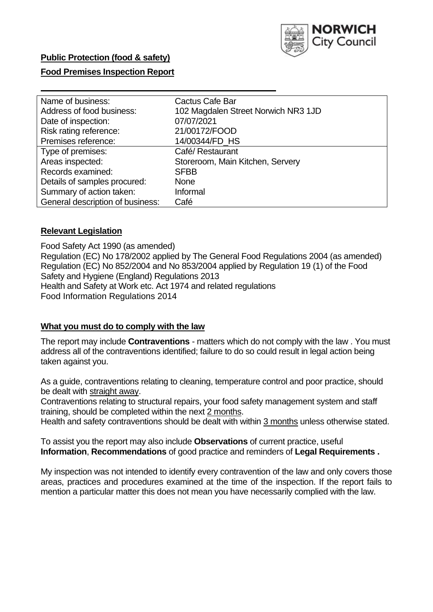

# **Public Protection (food & safety)**

# **Food Premises Inspection Report**

| Name of business:                | Cactus Cafe Bar                     |
|----------------------------------|-------------------------------------|
| Address of food business:        | 102 Magdalen Street Norwich NR3 1JD |
| Date of inspection:              | 07/07/2021                          |
| Risk rating reference:           | 21/00172/FOOD                       |
| Premises reference:              | 14/00344/FD HS                      |
| Type of premises:                | Café/ Restaurant                    |
| Areas inspected:                 | Storeroom, Main Kitchen, Servery    |
| Records examined:                | <b>SFBB</b>                         |
| Details of samples procured:     | <b>None</b>                         |
| Summary of action taken:         | Informal                            |
| General description of business: | Café                                |

# **Relevant Legislation**

 Food Safety Act 1990 (as amended) Regulation (EC) No 178/2002 applied by The General Food Regulations 2004 (as amended) Regulation (EC) No 852/2004 and No 853/2004 applied by Regulation 19 (1) of the Food Safety and Hygiene (England) Regulations 2013 Health and Safety at Work etc. Act 1974 and related regulations Food Information Regulations 2014

#### **What you must do to comply with the law**

 The report may include **Contraventions** - matters which do not comply with the law . You must address all of the contraventions identified; failure to do so could result in legal action being taken against you.

 As a guide, contraventions relating to cleaning, temperature control and poor practice, should be dealt with straight away.

 Contraventions relating to structural repairs, your food safety management system and staff training, should be completed within the next 2 months.

Health and safety contraventions should be dealt with within 3 months unless otherwise stated.

 To assist you the report may also include **Observations** of current practice, useful **Information**, **Recommendations** of good practice and reminders of **Legal Requirements .** 

 My inspection was not intended to identify every contravention of the law and only covers those areas, practices and procedures examined at the time of the inspection. If the report fails to mention a particular matter this does not mean you have necessarily complied with the law.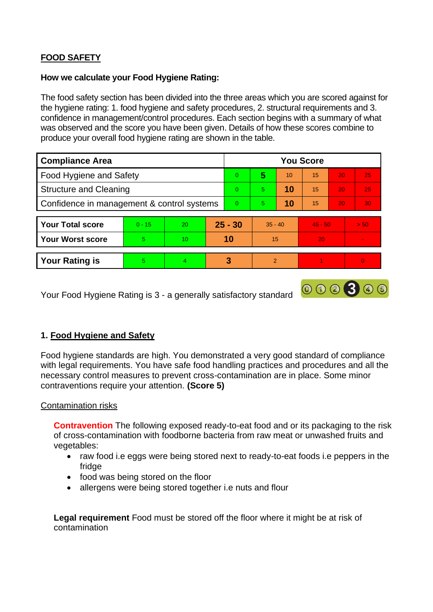# **FOOD SAFETY**

# **How we calculate your Food Hygiene Rating:**

 The food safety section has been divided into the three areas which you are scored against for the hygiene rating: 1. food hygiene and safety procedures, 2. structural requirements and 3. confidence in management/control procedures. Each section begins with a summary of what was observed and the score you have been given. Details of how these scores combine to produce your overall food hygiene rating are shown in the table.

| <b>Compliance Area</b>                     |          |    |           | <b>You Score</b> |                |    |           |                 |                |  |  |
|--------------------------------------------|----------|----|-----------|------------------|----------------|----|-----------|-----------------|----------------|--|--|
| Food Hygiene and Safety                    |          |    |           | $\overline{0}$   | 5              | 10 | 15        | 20              | 25             |  |  |
| <b>Structure and Cleaning</b>              |          |    | $\Omega$  | 5.               | 10             | 15 | 20        | 25              |                |  |  |
| Confidence in management & control systems |          |    | $\Omega$  | 5                | 10             | 15 | 20        | 30 <sup>°</sup> |                |  |  |
|                                            |          |    |           |                  |                |    |           |                 |                |  |  |
| <b>Your Total score</b>                    | $0 - 15$ | 20 | $25 - 30$ |                  | $35 - 40$      |    | $45 - 50$ |                 | > 50           |  |  |
| <b>Your Worst score</b>                    | 5        | 10 | 10        |                  | 15             |    | 20        |                 | $\blacksquare$ |  |  |
|                                            |          |    |           |                  |                |    |           |                 |                |  |  |
| <b>Your Rating is</b>                      | 5        | 4  |           | 3                | $\overline{2}$ |    |           |                 |                |  |  |

Your Food Hygiene Rating is 3 - a generally satisfactory standard

# **1. Food Hygiene and Safety**

 with legal requirements. You have safe food handling practices and procedures and all the Food hygiene standards are high. You demonstrated a very good standard of compliance necessary control measures to prevent cross-contamination are in place. Some minor contraventions require your attention. **(Score 5)** 

000300

# Contamination risks

**Contravention** The following exposed ready-to-eat food and or its packaging to the risk of cross-contamination with foodborne bacteria from raw meat or unwashed fruits and vegetables:

- • raw food i.e eggs were being stored next to ready-to-eat foods i.e peppers in the fridge
- food was being stored on the floor
- allergens were being stored together i.e nuts and flour

**Legal requirement** Food must be stored off the floor where it might be at risk of contamination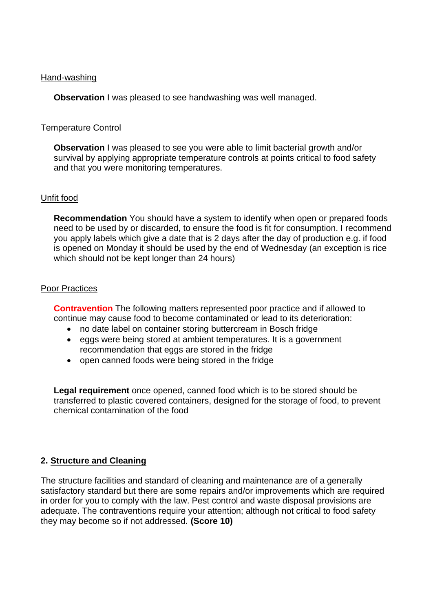#### Hand-washing

**Observation** I was pleased to see handwashing was well managed.

# Temperature Control

**Observation** I was pleased to see you were able to limit bacterial growth and/or survival by applying appropriate temperature controls at points critical to food safety and that you were monitoring temperatures.

#### Unfit food

**Recommendation** You should have a system to identify when open or prepared foods need to be used by or discarded, to ensure the food is fit for consumption. I recommend you apply labels which give a date that is 2 days after the day of production e.g. if food is opened on Monday it should be used by the end of Wednesday (an exception is rice which should not be kept longer than 24 hours)

#### Poor Practices

 **Contravention** The following matters represented poor practice and if allowed to continue may cause food to become contaminated or lead to its deterioration:

- no date label on container storing buttercream in Bosch fridge
- recommendation that eggs are stored in the fridge • eggs were being stored at ambient temperatures. It is a government
- open canned foods were being stored in the fridge

 **Legal requirement** once opened, canned food which is to be stored should be transferred to plastic covered containers, designed for the storage of food, to prevent chemical contamination of the food

# **2. Structure and Cleaning**

The structure facilities and standard of cleaning and maintenance are of a generally satisfactory standard but there are some repairs and/or improvements which are required in order for you to comply with the law. Pest control and waste disposal provisions are adequate. The contraventions require your attention; although not critical to food safety they may become so if not addressed. **(Score 10)**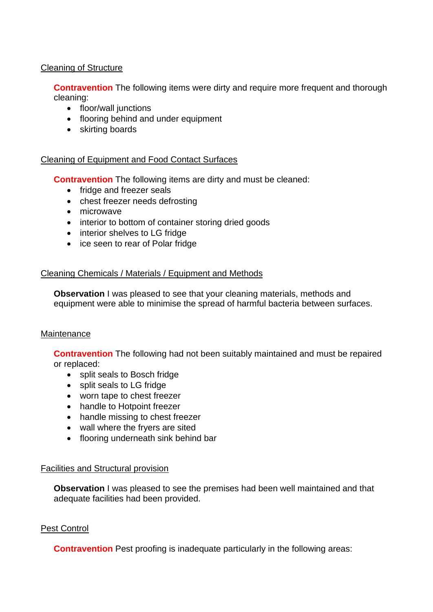# Cleaning of Structure

**Contravention** The following items were dirty and require more frequent and thorough cleaning:

- floor/wall junctions
- flooring behind and under equipment
- skirting boards

# Cleaning of Equipment and Food Contact Surfaces

**Contravention** The following items are dirty and must be cleaned:

- fridge and freezer seals
- chest freezer needs defrosting
- microwave
- interior to bottom of container storing dried goods
- interior shelves to LG fridge
- ice seen to rear of Polar fridge

#### Cleaning Chemicals / Materials / Equipment and Methods

**Observation** I was pleased to see that your cleaning materials, methods and equipment were able to minimise the spread of harmful bacteria between surfaces.

#### **Maintenance**

**Contravention** The following had not been suitably maintained and must be repaired or replaced:

- split seals to Bosch fridge
- split seals to LG fridge
- worn tape to chest freezer
- handle to Hotpoint freezer
- handle missing to chest freezer
- wall where the fryers are sited
- flooring underneath sink behind bar

#### Facilities and Structural provision

 **Observation** I was pleased to see the premises had been well maintained and that adequate facilities had been provided.

# Pest Control

**Contravention** Pest proofing is inadequate particularly in the following areas: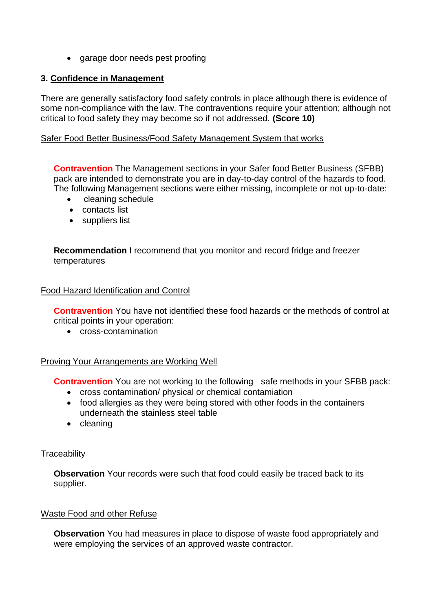• garage door needs pest proofing

# **3. Confidence in Management**

 There are generally satisfactory food safety controls in place although there is evidence of some non-compliance with the law. The contraventions require your attention; although not critical to food safety they may become so if not addressed. **(Score 10)** 

# Safer Food Better Business/Food Safety Management System that works

**Contravention** The Management sections in your Safer food Better Business (SFBB) pack are intended to demonstrate you are in day-to-day control of the hazards to food. The following Management sections were either missing, incomplete or not up-to-date:

- cleaning schedule
- contacts list
- suppliers list

 **Recommendation** I recommend that you monitor and record fridge and freezer temperatures

# Food Hazard Identification and Control

**Contravention** You have not identified these food hazards or the methods of control at critical points in your operation:

• cross-contamination

# Proving Your Arrangements are Working Well

**Contravention** You are not working to the following safe methods in your SFBB pack:

- cross contamination/ physical or chemical contamiation
- food allergies as they were being stored with other foods in the containers underneath the stainless steel table
- cleaning

# **Traceability**

**Observation** Your records were such that food could easily be traced back to its supplier.

# Waste Food and other Refuse

 **Observation** You had measures in place to dispose of waste food appropriately and were employing the services of an approved waste contractor.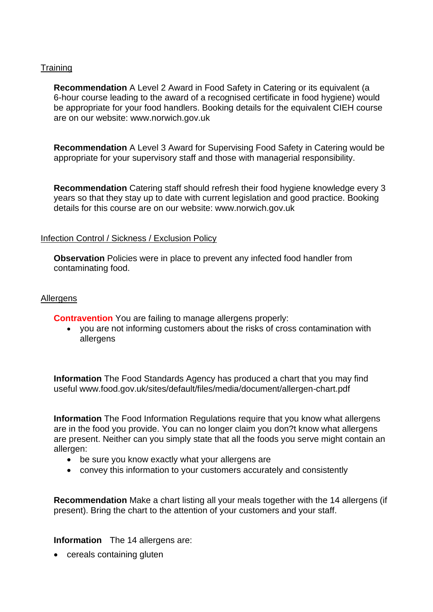# **Training**

**Recommendation** A Level 2 Award in Food Safety in Catering or its equivalent (a 6-hour course leading to the award of a recognised certificate in food hygiene) would be appropriate for your food handlers. Booking details for the equivalent CIEH course are on our website:<www.norwich.gov.uk>

**Recommendation** A Level 3 Award for Supervising Food Safety in Catering would be appropriate for your supervisory staff and those with managerial responsibility.

**Recommendation** Catering staff should refresh their food hygiene knowledge every 3 years so that they stay up to date with current legislation and good practice. Booking details for this course are on our website:<www.norwich.gov.uk>

# Infection Control / Sickness / Exclusion Policy

**Observation** Policies were in place to prevent any infected food handler from contaminating food.

#### **Allergens**

**Contravention** You are failing to manage allergens properly:

• you are not informing customers about the risks of cross contamination with allergens

 **Information** The Food Standards Agency has produced a chart that you may find useful <www.food.gov.uk/sites/default/files/media/document/allergen-chart.pdf>

**Information** The Food Information Regulations require that you know what allergens are in the food you provide. You can no longer claim you don?t know what allergens are present. Neither can you simply state that all the foods you serve might contain an allergen:

- be sure you know exactly what your allergens are
- convey this information to your customers accurately and consistently

 **Recommendation** Make a chart listing all your meals together with the 14 allergens (if present). Bring the chart to the attention of your customers and your staff.

**Information** The 14 allergens are:

• cereals containing gluten